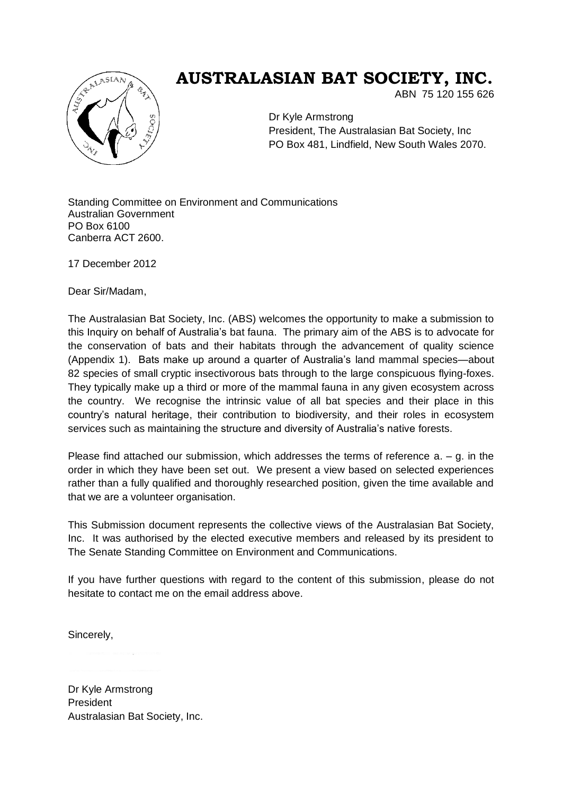

# **AUSTRALASIAN BAT SOCIETY, INC.**

ABN 75 120 155 626

Dr Kyle Armstrong President, The Australasian Bat Society, Inc PO Box 481, Lindfield, New South Wales 2070.

Standing Committee on Environment and Communications Australian Government PO Box 6100 Canberra ACT 2600.

17 December 2012

Dear Sir/Madam,

The Australasian Bat Society, Inc. (ABS) welcomes the opportunity to make a submission to this Inquiry on behalf of Australia's bat fauna. The primary aim of the ABS is to advocate for the conservation of bats and their habitats through the advancement of quality science (Appendix 1). Bats make up around a quarter of Australia's land mammal species—about 82 species of small cryptic insectivorous bats through to the large conspicuous flying-foxes. They typically make up a third or more of the mammal fauna in any given ecosystem across the country. We recognise the intrinsic value of all bat species and their place in this country's natural heritage, their contribution to biodiversity, and their roles in ecosystem services such as maintaining the structure and diversity of Australia's native forests.

Please find attached our submission, which addresses the terms of reference  $a - g$ . in the order in which they have been set out. We present a view based on selected experiences rather than a fully qualified and thoroughly researched position, given the time available and that we are a volunteer organisation.

This Submission document represents the collective views of the Australasian Bat Society, Inc. It was authorised by the elected executive members and released by its president to The Senate Standing Committee on Environment and Communications.

If you have further questions with regard to the content of this submission, please do not hesitate to contact me on the email address above.

Sincerely,

Dr Kyle Armstrong President Australasian Bat Society, Inc.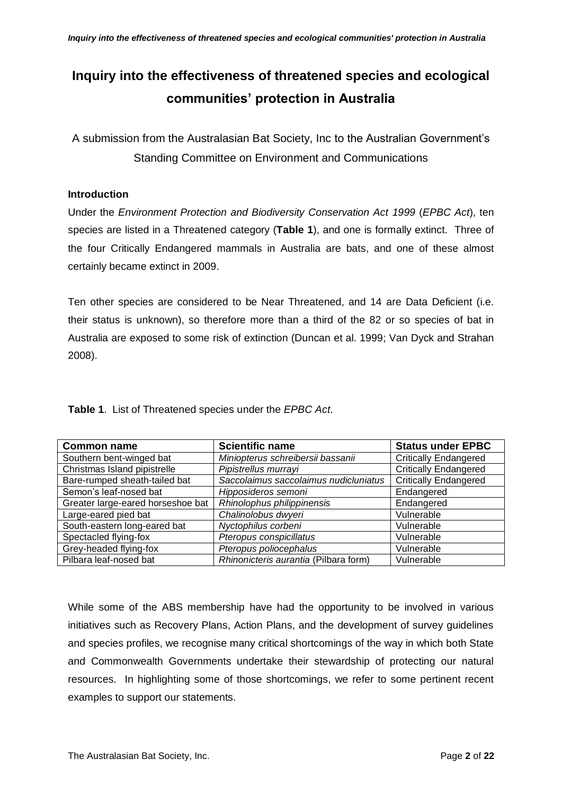# **Inquiry into the effectiveness of threatened species and ecological communities' protection in Australia**

A submission from the Australasian Bat Society, Inc to the Australian Government's Standing Committee on Environment and Communications

### **Introduction**

Under the *Environment Protection and Biodiversity Conservation Act 1999* (*EPBC Act*), ten species are listed in a Threatened category (**Table 1**), and one is formally extinct. Three of the four Critically Endangered mammals in Australia are bats, and one of these almost certainly became extinct in 2009.

Ten other species are considered to be Near Threatened, and 14 are Data Deficient (i.e. their status is unknown), so therefore more than a third of the 82 or so species of bat in Australia are exposed to some risk of extinction (Duncan et al. 1999; Van Dyck and Strahan 2008).

| <b>Common name</b>                | <b>Scientific name</b>                | <b>Status under EPBC</b>     |
|-----------------------------------|---------------------------------------|------------------------------|
| Southern bent-winged bat          | Miniopterus schreibersii bassanii     | <b>Critically Endangered</b> |
| Christmas Island pipistrelle      | Pipistrellus murrayi                  | <b>Critically Endangered</b> |
| Bare-rumped sheath-tailed bat     | Saccolaimus saccolaimus nudicluniatus | <b>Critically Endangered</b> |
| Semon's leaf-nosed bat            | Hipposideros semoni                   | Endangered                   |
| Greater large-eared horseshoe bat | Rhinolophus philippinensis            | Endangered                   |
| Large-eared pied bat              | Chalinolobus dwyeri                   | Vulnerable                   |
| South-eastern long-eared bat      | Nyctophilus corbeni                   | Vulnerable                   |
| Spectacled flying-fox             | Pteropus conspicillatus               | Vulnerable                   |
| Grey-headed flying-fox            | Pteropus poliocephalus                | Vulnerable                   |
| Pilbara leaf-nosed bat            | Rhinonicteris aurantia (Pilbara form) | Vulnerable                   |

**Table 1**. List of Threatened species under the *EPBC Act*.

While some of the ABS membership have had the opportunity to be involved in various initiatives such as Recovery Plans, Action Plans, and the development of survey guidelines and species profiles, we recognise many critical shortcomings of the way in which both State and Commonwealth Governments undertake their stewardship of protecting our natural resources. In highlighting some of those shortcomings, we refer to some pertinent recent examples to support our statements.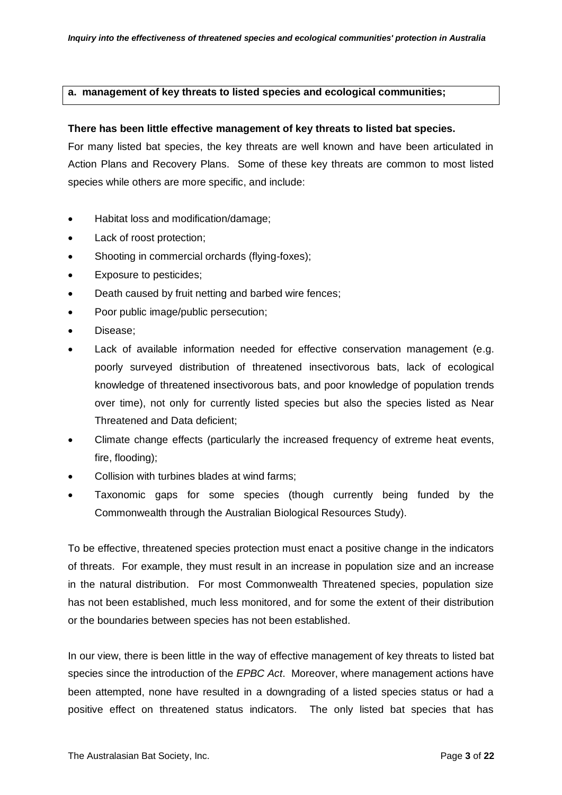#### **a. management of key threats to listed species and ecological communities;**

#### **There has been little effective management of key threats to listed bat species.**

For many listed bat species, the key threats are well known and have been articulated in Action Plans and Recovery Plans. Some of these key threats are common to most listed species while others are more specific, and include:

- Habitat loss and modification/damage;
- Lack of roost protection;
- Shooting in commercial orchards (flying-foxes);
- Exposure to pesticides;
- Death caused by fruit netting and barbed wire fences;
- Poor public image/public persecution;
- Disease;
- Lack of available information needed for effective conservation management (e.g. poorly surveyed distribution of threatened insectivorous bats, lack of ecological knowledge of threatened insectivorous bats, and poor knowledge of population trends over time), not only for currently listed species but also the species listed as Near Threatened and Data deficient;
- Climate change effects (particularly the increased frequency of extreme heat events, fire, flooding);
- Collision with turbines blades at wind farms;
- Taxonomic gaps for some species (though currently being funded by the Commonwealth through the Australian Biological Resources Study).

To be effective, threatened species protection must enact a positive change in the indicators of threats. For example, they must result in an increase in population size and an increase in the natural distribution. For most Commonwealth Threatened species, population size has not been established, much less monitored, and for some the extent of their distribution or the boundaries between species has not been established.

In our view, there is been little in the way of effective management of key threats to listed bat species since the introduction of the *EPBC Act*. Moreover, where management actions have been attempted, none have resulted in a downgrading of a listed species status or had a positive effect on threatened status indicators. The only listed bat species that has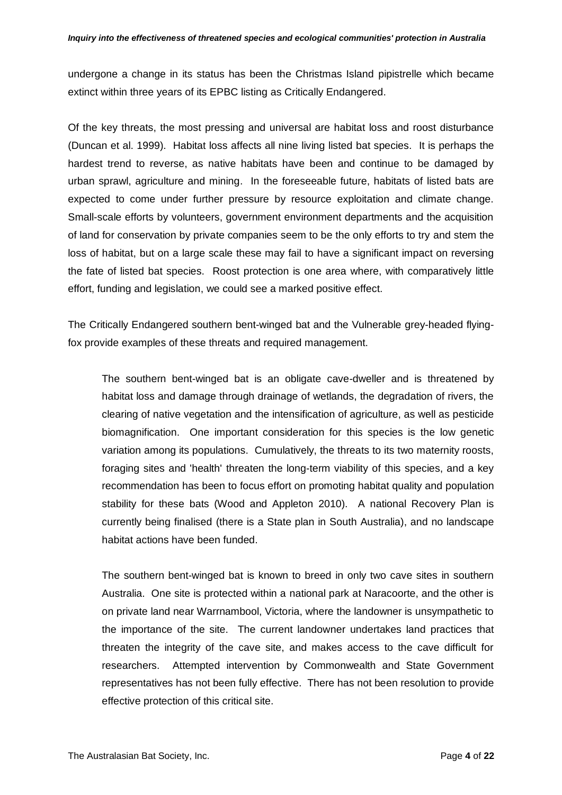undergone a change in its status has been the Christmas Island pipistrelle which became extinct within three years of its EPBC listing as Critically Endangered.

Of the key threats, the most pressing and universal are habitat loss and roost disturbance (Duncan et al. 1999). Habitat loss affects all nine living listed bat species. It is perhaps the hardest trend to reverse, as native habitats have been and continue to be damaged by urban sprawl, agriculture and mining. In the foreseeable future, habitats of listed bats are expected to come under further pressure by resource exploitation and climate change. Small-scale efforts by volunteers, government environment departments and the acquisition of land for conservation by private companies seem to be the only efforts to try and stem the loss of habitat, but on a large scale these may fail to have a significant impact on reversing the fate of listed bat species. Roost protection is one area where, with comparatively little effort, funding and legislation, we could see a marked positive effect.

The Critically Endangered southern bent-winged bat and the Vulnerable grey-headed flyingfox provide examples of these threats and required management.

The southern bent-winged bat is an obligate cave-dweller and is threatened by habitat loss and damage through drainage of wetlands, the degradation of rivers, the clearing of native vegetation and the intensification of agriculture, as well as pesticide biomagnification. One important consideration for this species is the low genetic variation among its populations. Cumulatively, the threats to its two maternity roosts, foraging sites and 'health' threaten the long-term viability of this species, and a key recommendation has been to focus effort on promoting habitat quality and population stability for these bats (Wood and Appleton 2010). A national Recovery Plan is currently being finalised (there is a State plan in South Australia), and no landscape habitat actions have been funded.

The southern bent-winged bat is known to breed in only two cave sites in southern Australia. One site is protected within a national park at Naracoorte, and the other is on private land near Warrnambool, Victoria, where the landowner is unsympathetic to the importance of the site. The current landowner undertakes land practices that threaten the integrity of the cave site, and makes access to the cave difficult for researchers. Attempted intervention by Commonwealth and State Government representatives has not been fully effective. There has not been resolution to provide effective protection of this critical site.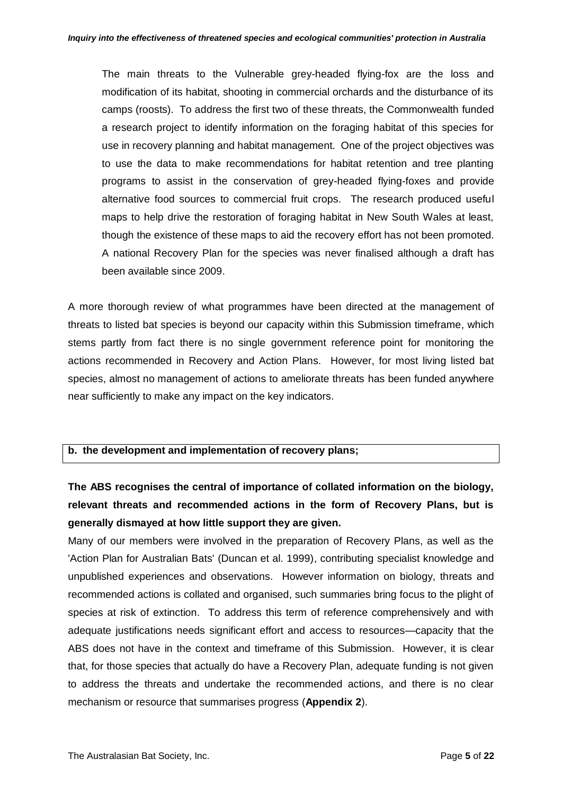The main threats to the Vulnerable grey-headed flying-fox are the loss and modification of its habitat, shooting in commercial orchards and the disturbance of its camps (roosts). To address the first two of these threats, the Commonwealth funded a research project to identify information on the foraging habitat of this species for use in recovery planning and habitat management. One of the project objectives was to use the data to make recommendations for habitat retention and tree planting programs to assist in the conservation of grey-headed flying-foxes and provide alternative food sources to commercial fruit crops. The research produced useful maps to help drive the restoration of foraging habitat in New South Wales at least, though the existence of these maps to aid the recovery effort has not been promoted. A national Recovery Plan for the species was never finalised although a draft has been available since 2009.

A more thorough review of what programmes have been directed at the management of threats to listed bat species is beyond our capacity within this Submission timeframe, which stems partly from fact there is no single government reference point for monitoring the actions recommended in Recovery and Action Plans. However, for most living listed bat species, almost no management of actions to ameliorate threats has been funded anywhere near sufficiently to make any impact on the key indicators.

### **b. the development and implementation of recovery plans;**

**The ABS recognises the central of importance of collated information on the biology, relevant threats and recommended actions in the form of Recovery Plans, but is generally dismayed at how little support they are given.**

Many of our members were involved in the preparation of Recovery Plans, as well as the 'Action Plan for Australian Bats' (Duncan et al. 1999), contributing specialist knowledge and unpublished experiences and observations. However information on biology, threats and recommended actions is collated and organised, such summaries bring focus to the plight of species at risk of extinction. To address this term of reference comprehensively and with adequate justifications needs significant effort and access to resources—capacity that the ABS does not have in the context and timeframe of this Submission. However, it is clear that, for those species that actually do have a Recovery Plan, adequate funding is not given to address the threats and undertake the recommended actions, and there is no clear mechanism or resource that summarises progress (**Appendix 2**).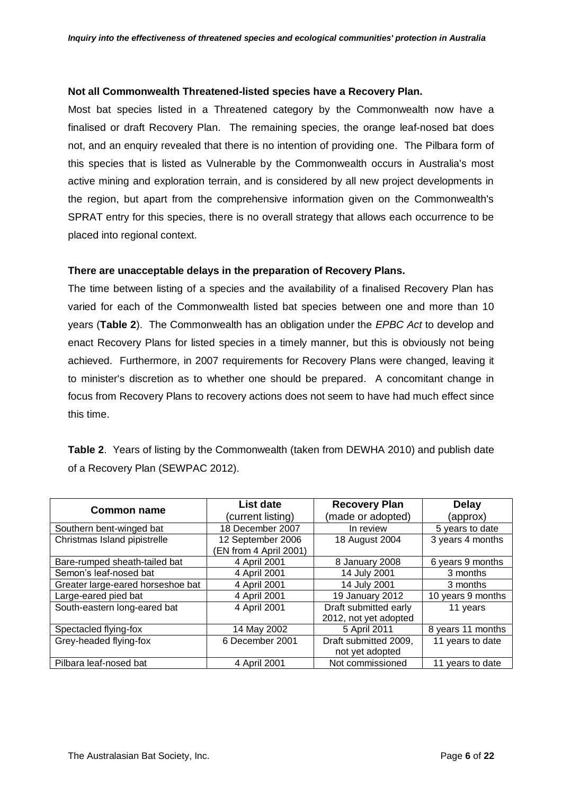#### **Not all Commonwealth Threatened-listed species have a Recovery Plan.**

Most bat species listed in a Threatened category by the Commonwealth now have a finalised or draft Recovery Plan. The remaining species, the orange leaf-nosed bat does not, and an enquiry revealed that there is no intention of providing one. The Pilbara form of this species that is listed as Vulnerable by the Commonwealth occurs in Australia's most active mining and exploration terrain, and is considered by all new project developments in the region, but apart from the comprehensive information given on the Commonwealth's SPRAT entry for this species, there is no overall strategy that allows each occurrence to be placed into regional context.

#### **There are unacceptable delays in the preparation of Recovery Plans.**

The time between listing of a species and the availability of a finalised Recovery Plan has varied for each of the Commonwealth listed bat species between one and more than 10 years (**Table 2**). The Commonwealth has an obligation under the *EPBC Act* to develop and enact Recovery Plans for listed species in a timely manner, but this is obviously not being achieved. Furthermore, in 2007 requirements for Recovery Plans were changed, leaving it to minister's discretion as to whether one should be prepared. A concomitant change in focus from Recovery Plans to recovery actions does not seem to have had much effect since this time.

| <b>Common name</b>                | List date             | <b>Recovery Plan</b>  | <b>Delay</b>      |
|-----------------------------------|-----------------------|-----------------------|-------------------|
|                                   | (current listing)     | (made or adopted)     | (approx)          |
| Southern bent-winged bat          | 18 December 2007      | In review             | 5 years to date   |
| Christmas Island pipistrelle      | 12 September 2006     | 18 August 2004        | 3 years 4 months  |
|                                   | EN from 4 April 2001) |                       |                   |
| Bare-rumped sheath-tailed bat     | 4 April 2001          | 8 January 2008        | 6 years 9 months  |
| Semon's leaf-nosed bat            | 4 April 2001          | 14 July 2001          | 3 months          |
| Greater large-eared horseshoe bat | 4 April 2001          | 14 July 2001          | 3 months          |
| Large-eared pied bat              | 4 April 2001          | 19 January 2012       | 10 years 9 months |
| South-eastern long-eared bat      | 4 April 2001          | Draft submitted early | 11 years          |
|                                   |                       | 2012, not yet adopted |                   |
| Spectacled flying-fox             | 14 May 2002           | 5 April 2011          | 8 years 11 months |
| Grey-headed flying-fox            | 6 December 2001       | Draft submitted 2009, | 11 years to date  |
|                                   |                       | not yet adopted       |                   |
| Pilbara leaf-nosed bat            | 4 April 2001          | Not commissioned      | 11 years to date  |

**Table 2**. Years of listing by the Commonwealth (taken from DEWHA 2010) and publish date of a Recovery Plan (SEWPAC 2012).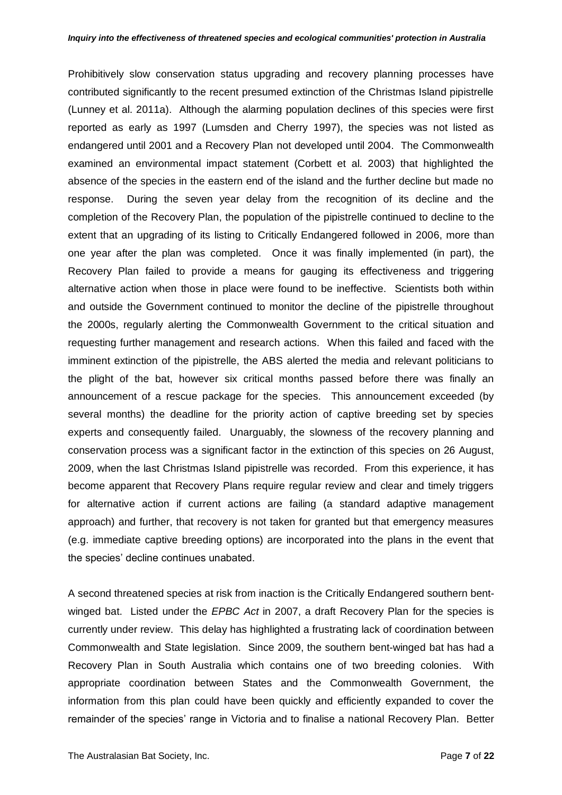Prohibitively slow conservation status upgrading and recovery planning processes have contributed significantly to the recent presumed extinction of the Christmas Island pipistrelle (Lunney et al. 2011a). Although the alarming population declines of this species were first reported as early as 1997 (Lumsden and Cherry 1997), the species was not listed as endangered until 2001 and a Recovery Plan not developed until 2004. The Commonwealth examined an environmental impact statement (Corbett et al. 2003) that highlighted the absence of the species in the eastern end of the island and the further decline but made no response. During the seven year delay from the recognition of its decline and the completion of the Recovery Plan, the population of the pipistrelle continued to decline to the extent that an upgrading of its listing to Critically Endangered followed in 2006, more than one year after the plan was completed. Once it was finally implemented (in part), the Recovery Plan failed to provide a means for gauging its effectiveness and triggering alternative action when those in place were found to be ineffective. Scientists both within and outside the Government continued to monitor the decline of the pipistrelle throughout the 2000s, regularly alerting the Commonwealth Government to the critical situation and requesting further management and research actions. When this failed and faced with the imminent extinction of the pipistrelle, the ABS alerted the media and relevant politicians to the plight of the bat, however six critical months passed before there was finally an announcement of a rescue package for the species. This announcement exceeded (by several months) the deadline for the priority action of captive breeding set by species experts and consequently failed. Unarguably, the slowness of the recovery planning and conservation process was a significant factor in the extinction of this species on 26 August, 2009, when the last Christmas Island pipistrelle was recorded. From this experience, it has become apparent that Recovery Plans require regular review and clear and timely triggers for alternative action if current actions are failing (a standard adaptive management approach) and further, that recovery is not taken for granted but that emergency measures (e.g. immediate captive breeding options) are incorporated into the plans in the event that the species' decline continues unabated.

A second threatened species at risk from inaction is the Critically Endangered southern bentwinged bat. Listed under the *EPBC Act* in 2007, a draft Recovery Plan for the species is currently under review. This delay has highlighted a frustrating lack of coordination between Commonwealth and State legislation. Since 2009, the southern bent-winged bat has had a Recovery Plan in South Australia which contains one of two breeding colonies. With appropriate coordination between States and the Commonwealth Government, the information from this plan could have been quickly and efficiently expanded to cover the remainder of the species' range in Victoria and to finalise a national Recovery Plan. Better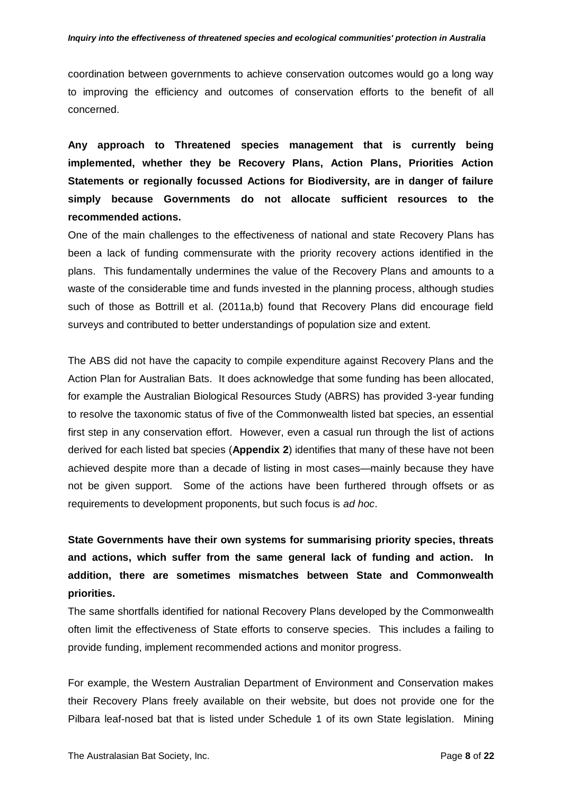coordination between governments to achieve conservation outcomes would go a long way to improving the efficiency and outcomes of conservation efforts to the benefit of all concerned.

**Any approach to Threatened species management that is currently being implemented, whether they be Recovery Plans, Action Plans, Priorities Action Statements or regionally focussed Actions for Biodiversity, are in danger of failure simply because Governments do not allocate sufficient resources to the recommended actions.** 

One of the main challenges to the effectiveness of national and state Recovery Plans has been a lack of funding commensurate with the priority recovery actions identified in the plans. This fundamentally undermines the value of the Recovery Plans and amounts to a waste of the considerable time and funds invested in the planning process, although studies such of those as Bottrill et al. (2011a,b) found that Recovery Plans did encourage field surveys and contributed to better understandings of population size and extent.

The ABS did not have the capacity to compile expenditure against Recovery Plans and the Action Plan for Australian Bats. It does acknowledge that some funding has been allocated, for example the Australian Biological Resources Study (ABRS) has provided 3-year funding to resolve the taxonomic status of five of the Commonwealth listed bat species, an essential first step in any conservation effort. However, even a casual run through the list of actions derived for each listed bat species (**Appendix 2**) identifies that many of these have not been achieved despite more than a decade of listing in most cases—mainly because they have not be given support. Some of the actions have been furthered through offsets or as requirements to development proponents, but such focus is *ad hoc*.

**State Governments have their own systems for summarising priority species, threats and actions, which suffer from the same general lack of funding and action. In addition, there are sometimes mismatches between State and Commonwealth priorities.**

The same shortfalls identified for national Recovery Plans developed by the Commonwealth often limit the effectiveness of State efforts to conserve species. This includes a failing to provide funding, implement recommended actions and monitor progress.

For example, the Western Australian Department of Environment and Conservation makes their Recovery Plans freely available on their website, but does not provide one for the Pilbara leaf-nosed bat that is listed under Schedule 1 of its own State legislation. Mining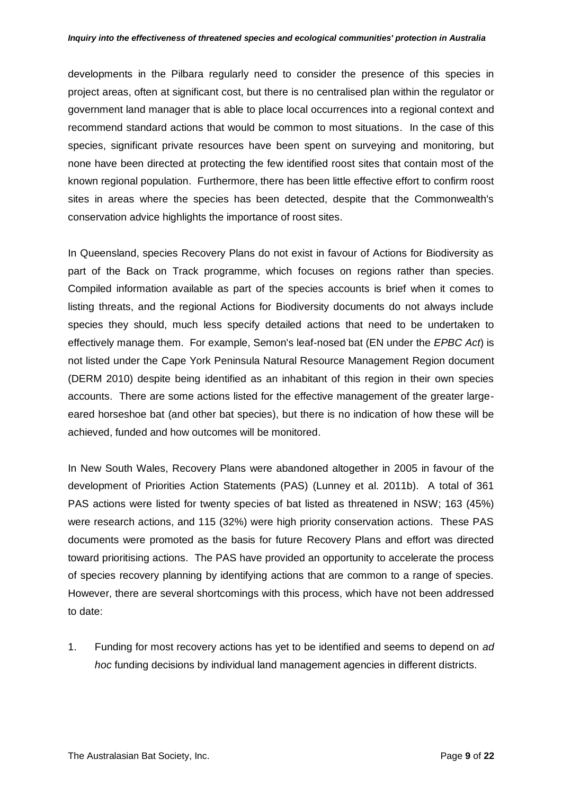developments in the Pilbara regularly need to consider the presence of this species in project areas, often at significant cost, but there is no centralised plan within the regulator or government land manager that is able to place local occurrences into a regional context and recommend standard actions that would be common to most situations. In the case of this species, significant private resources have been spent on surveying and monitoring, but none have been directed at protecting the few identified roost sites that contain most of the known regional population. Furthermore, there has been little effective effort to confirm roost sites in areas where the species has been detected, despite that the Commonwealth's conservation advice highlights the importance of roost sites.

In Queensland, species Recovery Plans do not exist in favour of Actions for Biodiversity as part of the Back on Track programme, which focuses on regions rather than species. Compiled information available as part of the species accounts is brief when it comes to listing threats, and the regional Actions for Biodiversity documents do not always include species they should, much less specify detailed actions that need to be undertaken to effectively manage them. For example, Semon's leaf-nosed bat (EN under the *EPBC Act*) is not listed under the Cape York Peninsula Natural Resource Management Region document (DERM 2010) despite being identified as an inhabitant of this region in their own species accounts. There are some actions listed for the effective management of the greater largeeared horseshoe bat (and other bat species), but there is no indication of how these will be achieved, funded and how outcomes will be monitored.

In New South Wales, Recovery Plans were abandoned altogether in 2005 in favour of the development of Priorities Action Statements (PAS) (Lunney et al. 2011b). A total of 361 PAS actions were listed for twenty species of bat listed as threatened in NSW; 163 (45%) were research actions, and 115 (32%) were high priority conservation actions. These PAS documents were promoted as the basis for future Recovery Plans and effort was directed toward prioritising actions. The PAS have provided an opportunity to accelerate the process of species recovery planning by identifying actions that are common to a range of species. However, there are several shortcomings with this process, which have not been addressed to date:

1. Funding for most recovery actions has yet to be identified and seems to depend on *ad hoc* funding decisions by individual land management agencies in different districts.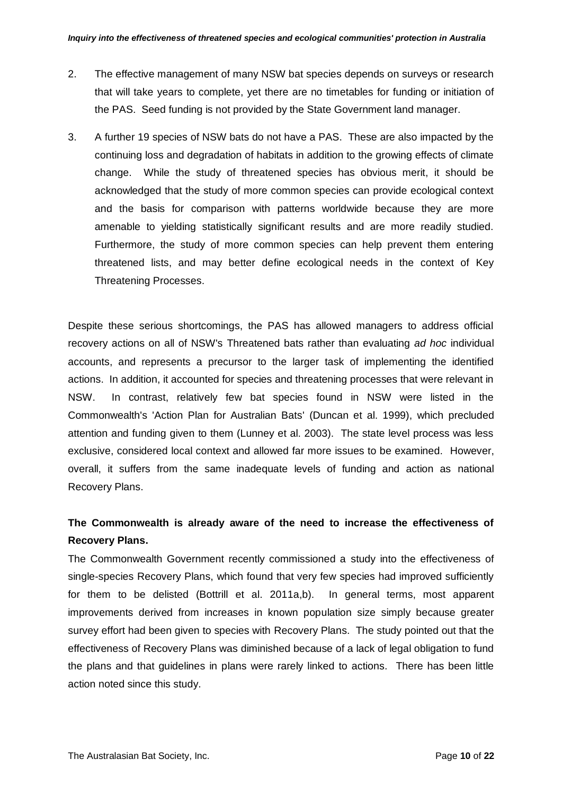- 2. The effective management of many NSW bat species depends on surveys or research that will take years to complete, yet there are no timetables for funding or initiation of the PAS. Seed funding is not provided by the State Government land manager.
- 3. A further 19 species of NSW bats do not have a PAS. These are also impacted by the continuing loss and degradation of habitats in addition to the growing effects of climate change. While the study of threatened species has obvious merit, it should be acknowledged that the study of more common species can provide ecological context and the basis for comparison with patterns worldwide because they are more amenable to yielding statistically significant results and are more readily studied. Furthermore, the study of more common species can help prevent them entering threatened lists, and may better define ecological needs in the context of Key Threatening Processes.

Despite these serious shortcomings, the PAS has allowed managers to address official recovery actions on all of NSW's Threatened bats rather than evaluating *ad hoc* individual accounts, and represents a precursor to the larger task of implementing the identified actions. In addition, it accounted for species and threatening processes that were relevant in NSW. In contrast, relatively few bat species found in NSW were listed in the Commonwealth's 'Action Plan for Australian Bats' (Duncan et al. 1999), which precluded attention and funding given to them (Lunney et al. 2003). The state level process was less exclusive, considered local context and allowed far more issues to be examined. However, overall, it suffers from the same inadequate levels of funding and action as national Recovery Plans.

### **The Commonwealth is already aware of the need to increase the effectiveness of Recovery Plans.**

The Commonwealth Government recently commissioned a study into the effectiveness of single-species Recovery Plans, which found that very few species had improved sufficiently for them to be delisted (Bottrill et al. 2011a,b). In general terms, most apparent improvements derived from increases in known population size simply because greater survey effort had been given to species with Recovery Plans. The study pointed out that the effectiveness of Recovery Plans was diminished because of a lack of legal obligation to fund the plans and that guidelines in plans were rarely linked to actions. There has been little action noted since this study.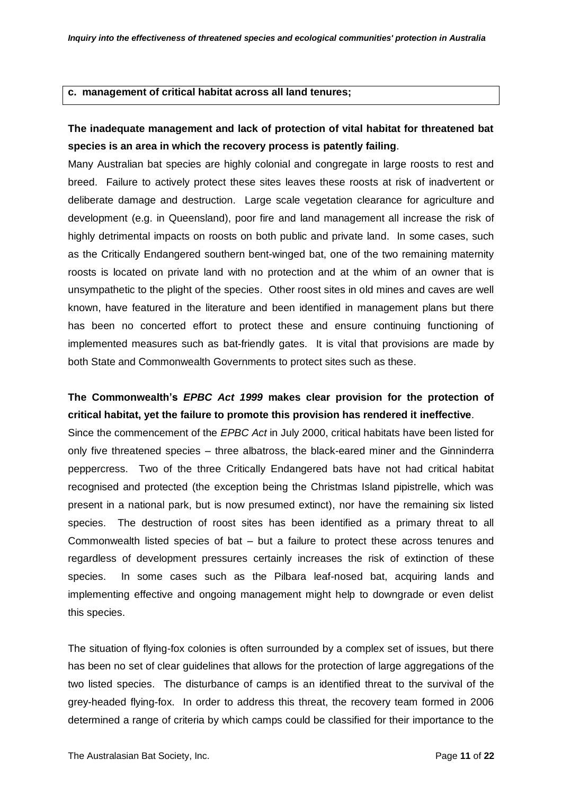#### **c. management of critical habitat across all land tenures;**

### **The inadequate management and lack of protection of vital habitat for threatened bat species is an area in which the recovery process is patently failing**.

Many Australian bat species are highly colonial and congregate in large roosts to rest and breed. Failure to actively protect these sites leaves these roosts at risk of inadvertent or deliberate damage and destruction. Large scale vegetation clearance for agriculture and development (e.g. in Queensland), poor fire and land management all increase the risk of highly detrimental impacts on roosts on both public and private land. In some cases, such as the Critically Endangered southern bent-winged bat, one of the two remaining maternity roosts is located on private land with no protection and at the whim of an owner that is unsympathetic to the plight of the species. Other roost sites in old mines and caves are well known, have featured in the literature and been identified in management plans but there has been no concerted effort to protect these and ensure continuing functioning of implemented measures such as bat-friendly gates. It is vital that provisions are made by both State and Commonwealth Governments to protect sites such as these.

### **The Commonwealth's** *EPBC Act 1999* **makes clear provision for the protection of critical habitat, yet the failure to promote this provision has rendered it ineffective**.

Since the commencement of the *EPBC Act* in July 2000, critical habitats have been listed for only five threatened species – three albatross, the black-eared miner and the Ginninderra peppercress. Two of the three Critically Endangered bats have not had critical habitat recognised and protected (the exception being the Christmas Island pipistrelle, which was present in a national park, but is now presumed extinct), nor have the remaining six listed species. The destruction of roost sites has been identified as a primary threat to all Commonwealth listed species of bat – but a failure to protect these across tenures and regardless of development pressures certainly increases the risk of extinction of these species. In some cases such as the Pilbara leaf-nosed bat, acquiring lands and implementing effective and ongoing management might help to downgrade or even delist this species.

The situation of flying-fox colonies is often surrounded by a complex set of issues, but there has been no set of clear guidelines that allows for the protection of large aggregations of the two listed species. The disturbance of camps is an identified threat to the survival of the grey-headed flying-fox. In order to address this threat, the recovery team formed in 2006 determined a range of criteria by which camps could be classified for their importance to the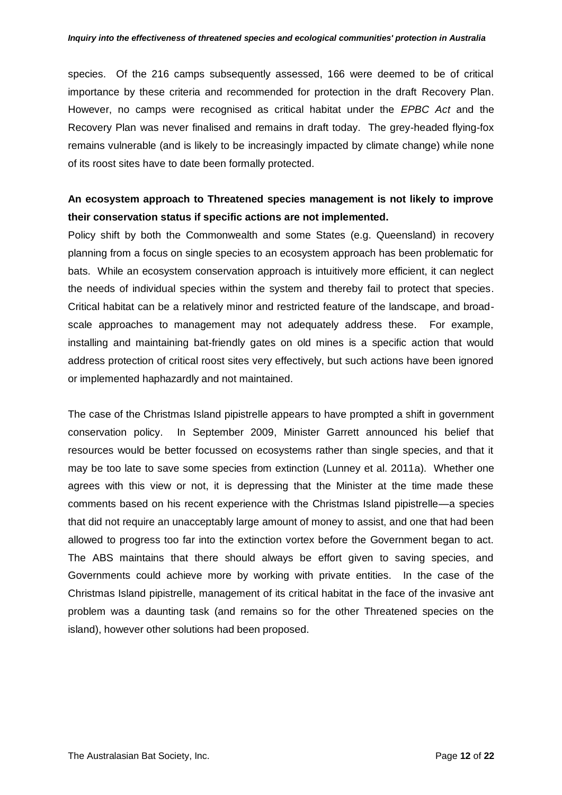species. Of the 216 camps subsequently assessed, 166 were deemed to be of critical importance by these criteria and recommended for protection in the draft Recovery Plan. However, no camps were recognised as critical habitat under the *EPBC Act* and the Recovery Plan was never finalised and remains in draft today. The grey-headed flying-fox remains vulnerable (and is likely to be increasingly impacted by climate change) while none of its roost sites have to date been formally protected.

### **An ecosystem approach to Threatened species management is not likely to improve their conservation status if specific actions are not implemented.**

Policy shift by both the Commonwealth and some States (e.g. Queensland) in recovery planning from a focus on single species to an ecosystem approach has been problematic for bats. While an ecosystem conservation approach is intuitively more efficient, it can neglect the needs of individual species within the system and thereby fail to protect that species. Critical habitat can be a relatively minor and restricted feature of the landscape, and broadscale approaches to management may not adequately address these. For example, installing and maintaining bat-friendly gates on old mines is a specific action that would address protection of critical roost sites very effectively, but such actions have been ignored or implemented haphazardly and not maintained.

The case of the Christmas Island pipistrelle appears to have prompted a shift in government conservation policy. In September 2009, Minister Garrett announced his belief that resources would be better focussed on ecosystems rather than single species, and that it may be too late to save some species from extinction (Lunney et al. 2011a). Whether one agrees with this view or not, it is depressing that the Minister at the time made these comments based on his recent experience with the Christmas Island pipistrelle—a species that did not require an unacceptably large amount of money to assist, and one that had been allowed to progress too far into the extinction vortex before the Government began to act. The ABS maintains that there should always be effort given to saving species, and Governments could achieve more by working with private entities. In the case of the Christmas Island pipistrelle, management of its critical habitat in the face of the invasive ant problem was a daunting task (and remains so for the other Threatened species on the island), however other solutions had been proposed.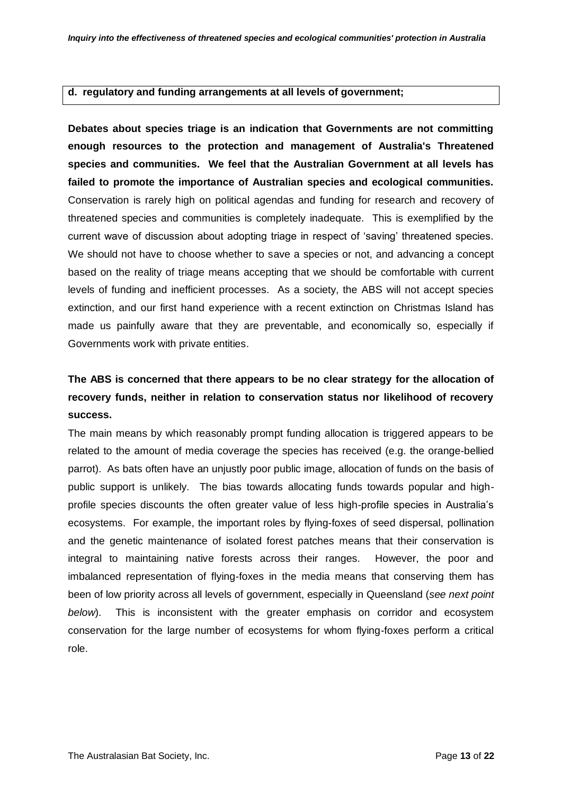#### **d. regulatory and funding arrangements at all levels of government;**

**Debates about species triage is an indication that Governments are not committing enough resources to the protection and management of Australia's Threatened species and communities. We feel that the Australian Government at all levels has failed to promote the importance of Australian species and ecological communities.** Conservation is rarely high on political agendas and funding for research and recovery of threatened species and communities is completely inadequate. This is exemplified by the current wave of discussion about adopting triage in respect of 'saving' threatened species. We should not have to choose whether to save a species or not, and advancing a concept based on the reality of triage means accepting that we should be comfortable with current levels of funding and inefficient processes. As a society, the ABS will not accept species extinction, and our first hand experience with a recent extinction on Christmas Island has made us painfully aware that they are preventable, and economically so, especially if Governments work with private entities.

## **The ABS is concerned that there appears to be no clear strategy for the allocation of recovery funds, neither in relation to conservation status nor likelihood of recovery success.**

The main means by which reasonably prompt funding allocation is triggered appears to be related to the amount of media coverage the species has received (e.g. the orange-bellied parrot). As bats often have an unjustly poor public image, allocation of funds on the basis of public support is unlikely. The bias towards allocating funds towards popular and highprofile species discounts the often greater value of less high-profile species in Australia's ecosystems. For example, the important roles by flying-foxes of seed dispersal, pollination and the genetic maintenance of isolated forest patches means that their conservation is integral to maintaining native forests across their ranges. However, the poor and imbalanced representation of flying-foxes in the media means that conserving them has been of low priority across all levels of government, especially in Queensland (*see next point below*). This is inconsistent with the greater emphasis on corridor and ecosystem conservation for the large number of ecosystems for whom flying-foxes perform a critical role.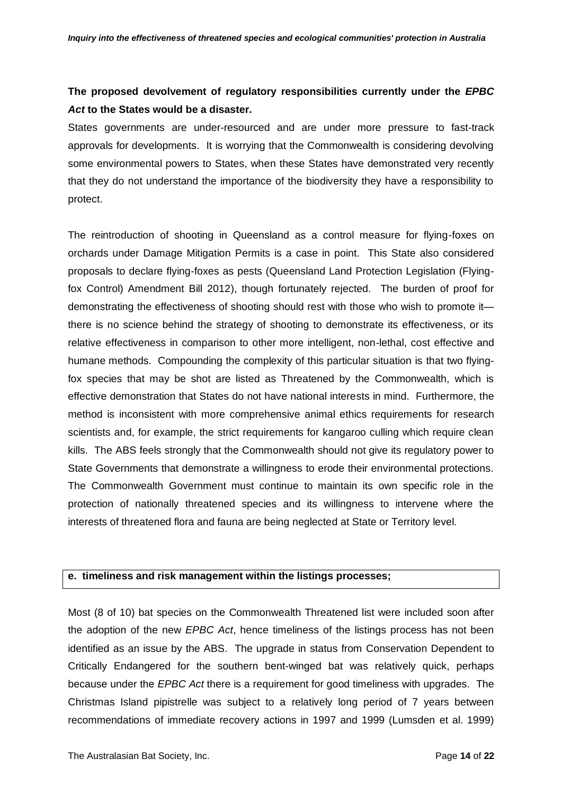### **The proposed devolvement of regulatory responsibilities currently under the** *EPBC Act* **to the States would be a disaster.**

States governments are under-resourced and are under more pressure to fast-track approvals for developments. It is worrying that the Commonwealth is considering devolving some environmental powers to States, when these States have demonstrated very recently that they do not understand the importance of the biodiversity they have a responsibility to protect.

The reintroduction of shooting in Queensland as a control measure for flying-foxes on orchards under Damage Mitigation Permits is a case in point. This State also considered proposals to declare flying-foxes as pests (Queensland Land Protection Legislation (Flyingfox Control) Amendment Bill 2012), though fortunately rejected. The burden of proof for demonstrating the effectiveness of shooting should rest with those who wish to promote it there is no science behind the strategy of shooting to demonstrate its effectiveness, or its relative effectiveness in comparison to other more intelligent, non-lethal, cost effective and humane methods. Compounding the complexity of this particular situation is that two flyingfox species that may be shot are listed as Threatened by the Commonwealth, which is effective demonstration that States do not have national interests in mind. Furthermore, the method is inconsistent with more comprehensive animal ethics requirements for research scientists and, for example, the strict requirements for kangaroo culling which require clean kills. The ABS feels strongly that the Commonwealth should not give its regulatory power to State Governments that demonstrate a willingness to erode their environmental protections. The Commonwealth Government must continue to maintain its own specific role in the protection of nationally threatened species and its willingness to intervene where the interests of threatened flora and fauna are being neglected at State or Territory level.

### **e. timeliness and risk management within the listings processes;**

Most (8 of 10) bat species on the Commonwealth Threatened list were included soon after the adoption of the new *EPBC Act*, hence timeliness of the listings process has not been identified as an issue by the ABS. The upgrade in status from Conservation Dependent to Critically Endangered for the southern bent-winged bat was relatively quick, perhaps because under the *EPBC Act* there is a requirement for good timeliness with upgrades. The Christmas Island pipistrelle was subject to a relatively long period of 7 years between recommendations of immediate recovery actions in 1997 and 1999 (Lumsden et al. 1999)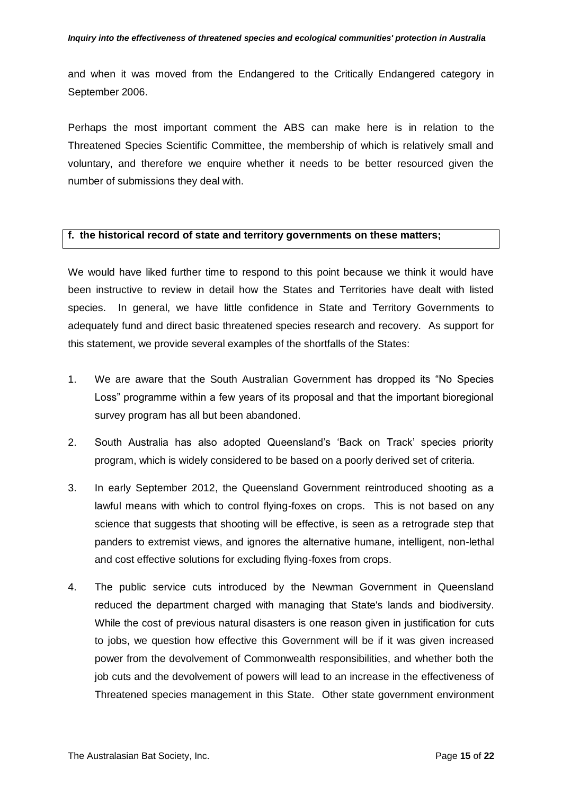and when it was moved from the Endangered to the Critically Endangered category in September 2006.

Perhaps the most important comment the ABS can make here is in relation to the Threatened Species Scientific Committee, the membership of which is relatively small and voluntary, and therefore we enquire whether it needs to be better resourced given the number of submissions they deal with.

#### **f. the historical record of state and territory governments on these matters;**

We would have liked further time to respond to this point because we think it would have been instructive to review in detail how the States and Territories have dealt with listed species. In general, we have little confidence in State and Territory Governments to adequately fund and direct basic threatened species research and recovery. As support for this statement, we provide several examples of the shortfalls of the States:

- 1. We are aware that the South Australian Government has dropped its "No Species" Loss" programme within a few years of its proposal and that the important bioregional survey program has all but been abandoned.
- 2. South Australia has also adopted Queensland's 'Back on Track' species priority program, which is widely considered to be based on a poorly derived set of criteria.
- 3. In early September 2012, the Queensland Government reintroduced shooting as a lawful means with which to control flying-foxes on crops. This is not based on any science that suggests that shooting will be effective, is seen as a retrograde step that panders to extremist views, and ignores the alternative humane, intelligent, non-lethal and cost effective solutions for excluding flying-foxes from crops.
- 4. The public service cuts introduced by the Newman Government in Queensland reduced the department charged with managing that State's lands and biodiversity. While the cost of previous natural disasters is one reason given in justification for cuts to jobs, we question how effective this Government will be if it was given increased power from the devolvement of Commonwealth responsibilities, and whether both the job cuts and the devolvement of powers will lead to an increase in the effectiveness of Threatened species management in this State. Other state government environment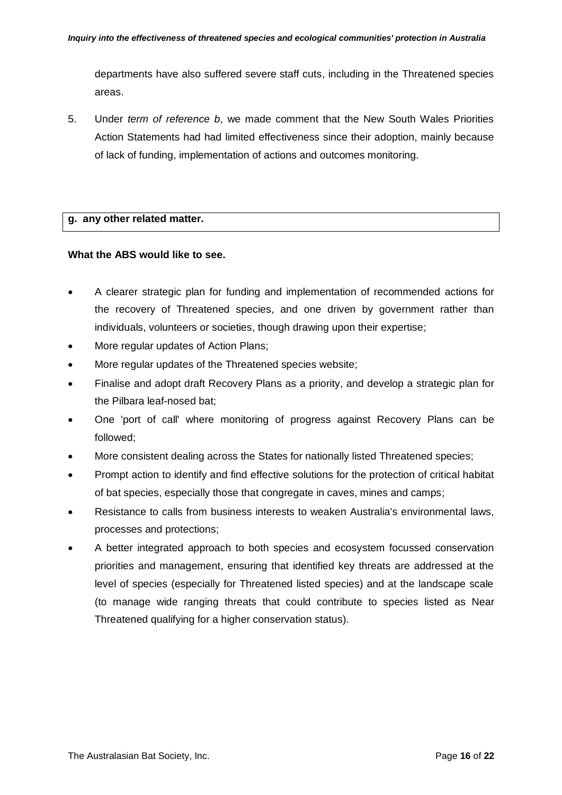departments have also suffered severe staff cuts, including in the Threatened species areas.

5. Under *term of reference b*, we made comment that the New South Wales Priorities Action Statements had had limited effectiveness since their adoption, mainly because of lack of funding, implementation of actions and outcomes monitoring.

### **g. any other related matter.**

#### **What the ABS would like to see.**

- A clearer strategic plan for funding and implementation of recommended actions for the recovery of Threatened species, and one driven by government rather than individuals, volunteers or societies, though drawing upon their expertise;
- More regular updates of Action Plans;
- More regular updates of the Threatened species website;
- Finalise and adopt draft Recovery Plans as a priority, and develop a strategic plan for the Pilbara leaf-nosed bat;
- One 'port of call' where monitoring of progress against Recovery Plans can be followed;
- More consistent dealing across the States for nationally listed Threatened species;
- Prompt action to identify and find effective solutions for the protection of critical habitat of bat species, especially those that congregate in caves, mines and camps;
- Resistance to calls from business interests to weaken Australia's environmental laws, processes and protections;
- A better integrated approach to both species and ecosystem focussed conservation priorities and management, ensuring that identified key threats are addressed at the level of species (especially for Threatened listed species) and at the landscape scale (to manage wide ranging threats that could contribute to species listed as Near Threatened qualifying for a higher conservation status).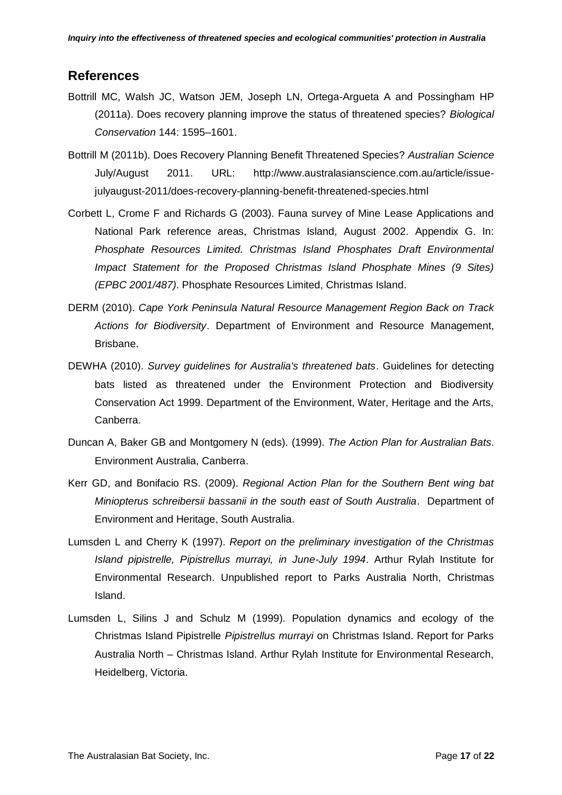### **References**

- Bottrill MC, Walsh JC, Watson JEM, Joseph LN, Ortega-Argueta A and Possingham HP (2011a). Does recovery planning improve the status of threatened species? *Biological Conservation* 144: 1595–1601.
- Bottrill M (2011b). Does Recovery Planning Benefit Threatened Species? *Australian Science* July/August 2011. URL: http://www.australasianscience.com.au/article/issuejulyaugust-2011/does-recovery-planning-benefit-threatened-species.html
- Corbett L, Crome F and Richards G (2003). Fauna survey of Mine Lease Applications and National Park reference areas, Christmas Island, August 2002. Appendix G. In: *Phosphate Resources Limited. Christmas Island Phosphates Draft Environmental Impact Statement for the Proposed Christmas Island Phosphate Mines (9 Sites) (EPBC 2001/487)*. Phosphate Resources Limited, Christmas Island.
- DERM (2010). *Cape York Peninsula Natural Resource Management Region Back on Track Actions for Biodiversity*. Department of Environment and Resource Management, Brisbane.
- DEWHA (2010). *Survey guidelines for Australia's threatened bats*. Guidelines for detecting bats listed as threatened under the Environment Protection and Biodiversity Conservation Act 1999. Department of the Environment, Water, Heritage and the Arts, Canberra.
- Duncan A, Baker GB and Montgomery N (eds). (1999). *The Action Plan for Australian Bats*. Environment Australia, Canberra.
- Kerr GD, and Bonifacio RS. (2009). *Regional Action Plan for the Southern Bent wing bat Miniopterus schreibersii bassanii in the south east of South Australia*. Department of Environment and Heritage, South Australia.
- Lumsden L and Cherry K (1997). *Report on the preliminary investigation of the Christmas Island pipistrelle, Pipistrellus murrayi, in June-July 1994*. Arthur Rylah Institute for Environmental Research. Unpublished report to Parks Australia North, Christmas Island.
- Lumsden L, Silins J and Schulz M (1999). Population dynamics and ecology of the Christmas Island Pipistrelle *Pipistrellus murrayi* on Christmas Island. Report for Parks Australia North – Christmas Island. Arthur Rylah Institute for Environmental Research, Heidelberg, Victoria.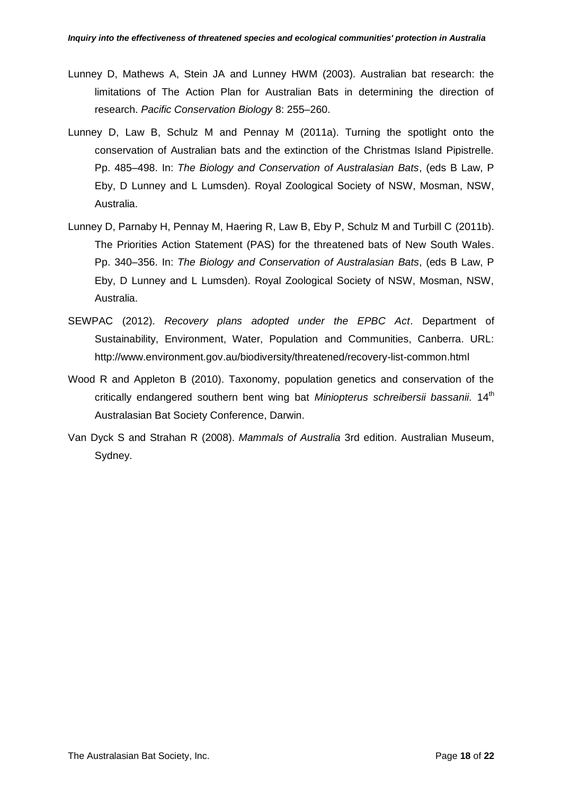- Lunney D, Mathews A, Stein JA and Lunney HWM (2003). Australian bat research: the limitations of The Action Plan for Australian Bats in determining the direction of research. *Pacific Conservation Biology* 8: 255–260.
- Lunney D, Law B, Schulz M and Pennay M (2011a). Turning the spotlight onto the conservation of Australian bats and the extinction of the Christmas Island Pipistrelle. Pp. 485–498. In: *The Biology and Conservation of Australasian Bats*, (eds B Law, P Eby, D Lunney and L Lumsden). Royal Zoological Society of NSW, Mosman, NSW, Australia.
- Lunney D, Parnaby H, Pennay M, Haering R, Law B, Eby P, Schulz M and Turbill C (2011b). The Priorities Action Statement (PAS) for the threatened bats of New South Wales. Pp. 340–356. In: *The Biology and Conservation of Australasian Bats*, (eds B Law, P Eby, D Lunney and L Lumsden). Royal Zoological Society of NSW, Mosman, NSW, Australia.
- SEWPAC (2012). *Recovery plans adopted under the EPBC Act*. Department of Sustainability, Environment, Water, Population and Communities, Canberra. URL: http://www.environment.gov.au/biodiversity/threatened/recovery-list-common.html
- Wood R and Appleton B (2010). Taxonomy, population genetics and conservation of the critically endangered southern bent wing bat *Miniopterus schreibersii bassanii*. 14th Australasian Bat Society Conference, Darwin.
- Van Dyck S and Strahan R (2008). *Mammals of Australia* 3rd edition. Australian Museum, Sydney.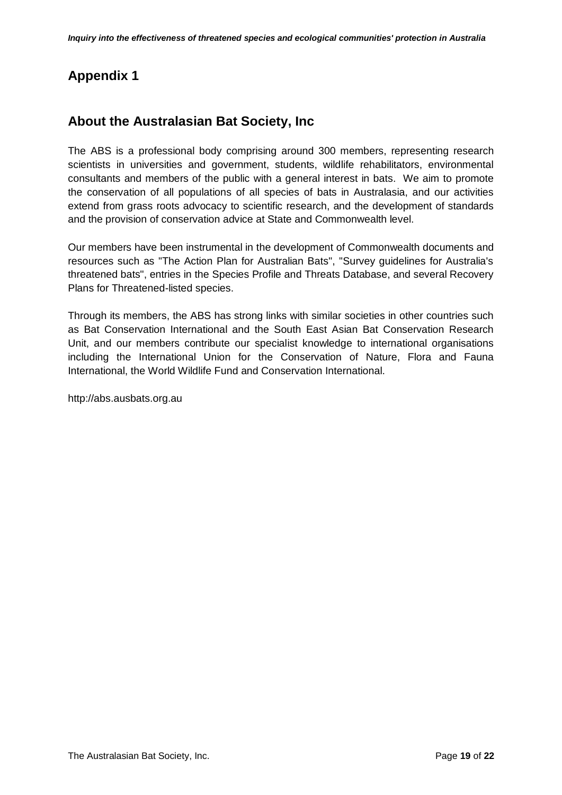# **Appendix 1**

## **About the Australasian Bat Society, Inc**

The ABS is a professional body comprising around 300 members, representing research scientists in universities and government, students, wildlife rehabilitators, environmental consultants and members of the public with a general interest in bats. We aim to promote the conservation of all populations of all species of bats in Australasia, and our activities extend from grass roots advocacy to scientific research, and the development of standards and the provision of conservation advice at State and Commonwealth level.

Our members have been instrumental in the development of Commonwealth documents and resources such as "The Action Plan for Australian Bats", "Survey guidelines for Australia's threatened bats", entries in the Species Profile and Threats Database, and several Recovery Plans for Threatened-listed species.

Through its members, the ABS has strong links with similar societies in other countries such as Bat Conservation International and the South East Asian Bat Conservation Research Unit, and our members contribute our specialist knowledge to international organisations including the International Union for the Conservation of Nature, Flora and Fauna International, the World Wildlife Fund and Conservation International.

http://abs.ausbats.org.au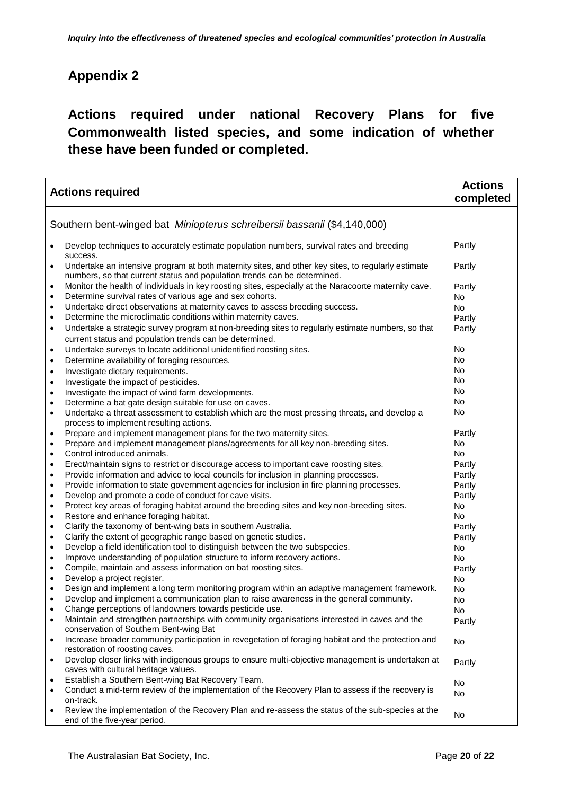# **Appendix 2**

# **Actions required under national Recovery Plans for five Commonwealth listed species, and some indication of whether these have been funded or completed.**

| <b>Actions required</b>                                                  |                                                                                                                                                                                | <b>Actions</b><br>completed |
|--------------------------------------------------------------------------|--------------------------------------------------------------------------------------------------------------------------------------------------------------------------------|-----------------------------|
|                                                                          |                                                                                                                                                                                |                             |
| Southern bent-winged bat Miniopterus schreibersii bassanii (\$4,140,000) |                                                                                                                                                                                |                             |
|                                                                          | Develop techniques to accurately estimate population numbers, survival rates and breeding<br>success.                                                                          | Partly                      |
| $\bullet$                                                                | Undertake an intensive program at both maternity sites, and other key sites, to regularly estimate<br>numbers, so that current status and population trends can be determined. | Partly                      |
| $\bullet$                                                                | Monitor the health of individuals in key roosting sites, especially at the Naracoorte maternity cave.                                                                          | Partly                      |
| $\bullet$                                                                | Determine survival rates of various age and sex cohorts.                                                                                                                       | No.                         |
| $\bullet$                                                                | Undertake direct observations at maternity caves to assess breeding success.                                                                                                   | No.                         |
| $\bullet$                                                                | Determine the microclimatic conditions within maternity caves.                                                                                                                 | Partly                      |
| $\bullet$                                                                | Undertake a strategic survey program at non-breeding sites to regularly estimate numbers, so that<br>current status and population trends can be determined.                   | Partly                      |
| $\bullet$                                                                | Undertake surveys to locate additional unidentified roosting sites.                                                                                                            | No                          |
| $\bullet$                                                                | Determine availability of foraging resources.                                                                                                                                  | No                          |
| $\bullet$                                                                | Investigate dietary requirements.                                                                                                                                              | No                          |
| $\bullet$                                                                | Investigate the impact of pesticides.                                                                                                                                          | No                          |
| $\bullet$                                                                | Investigate the impact of wind farm developments.                                                                                                                              | No                          |
| $\bullet$                                                                | Determine a bat gate design suitable for use on caves.                                                                                                                         | No                          |
| $\bullet$                                                                | Undertake a threat assessment to establish which are the most pressing threats, and develop a<br>process to implement resulting actions.                                       | No                          |
| $\bullet$                                                                | Prepare and implement management plans for the two maternity sites.                                                                                                            | Partly                      |
| ٠                                                                        | Prepare and implement management plans/agreements for all key non-breeding sites.                                                                                              | No.                         |
| $\bullet$                                                                | Control introduced animals.                                                                                                                                                    | No                          |
| $\bullet$                                                                | Erect/maintain signs to restrict or discourage access to important cave roosting sites.                                                                                        | Partly                      |
| $\bullet$                                                                | Provide information and advice to local councils for inclusion in planning processes.                                                                                          | Partly                      |
| $\bullet$                                                                | Provide information to state government agencies for inclusion in fire planning processes.                                                                                     | Partly                      |
| $\bullet$                                                                | Develop and promote a code of conduct for cave visits.                                                                                                                         | Partly                      |
| $\bullet$                                                                | Protect key areas of foraging habitat around the breeding sites and key non-breeding sites.                                                                                    | No.                         |
| $\bullet$                                                                | Restore and enhance foraging habitat.                                                                                                                                          | <b>No</b>                   |
| $\bullet$                                                                | Clarify the taxonomy of bent-wing bats in southern Australia.                                                                                                                  | Partly                      |
| $\bullet$                                                                | Clarify the extent of geographic range based on genetic studies.                                                                                                               | Partly                      |
| ٠                                                                        | Develop a field identification tool to distinguish between the two subspecies.                                                                                                 | No                          |
| $\bullet$                                                                | Improve understanding of population structure to inform recovery actions.                                                                                                      | No                          |
| $\bullet$                                                                | Compile, maintain and assess information on bat roosting sites.                                                                                                                | Partly                      |
| $\bullet$                                                                | Develop a project register.                                                                                                                                                    | No                          |
|                                                                          | Design and implement a long term monitoring program within an adaptive management framework.                                                                                   | No                          |
| ٠                                                                        | Develop and implement a communication plan to raise awareness in the general community.                                                                                        | No                          |
| $\bullet$                                                                | Change perceptions of landowners towards pesticide use.                                                                                                                        | No                          |
| $\bullet$                                                                | Maintain and strengthen partnerships with community organisations interested in caves and the<br>conservation of Southern Bent-wing Bat                                        | Partly                      |
| $\bullet$                                                                | Increase broader community participation in revegetation of foraging habitat and the protection and<br>restoration of roosting caves.                                          | No                          |
| $\bullet$                                                                | Develop closer links with indigenous groups to ensure multi-objective management is undertaken at<br>caves with cultural heritage values.                                      | Partly                      |
| $\bullet$                                                                | Establish a Southern Bent-wing Bat Recovery Team.                                                                                                                              | No                          |
| $\bullet$                                                                | Conduct a mid-term review of the implementation of the Recovery Plan to assess if the recovery is<br>on-track.                                                                 | No.                         |
| $\bullet$                                                                | Review the implementation of the Recovery Plan and re-assess the status of the sub-species at the<br>end of the five-year period.                                              | No                          |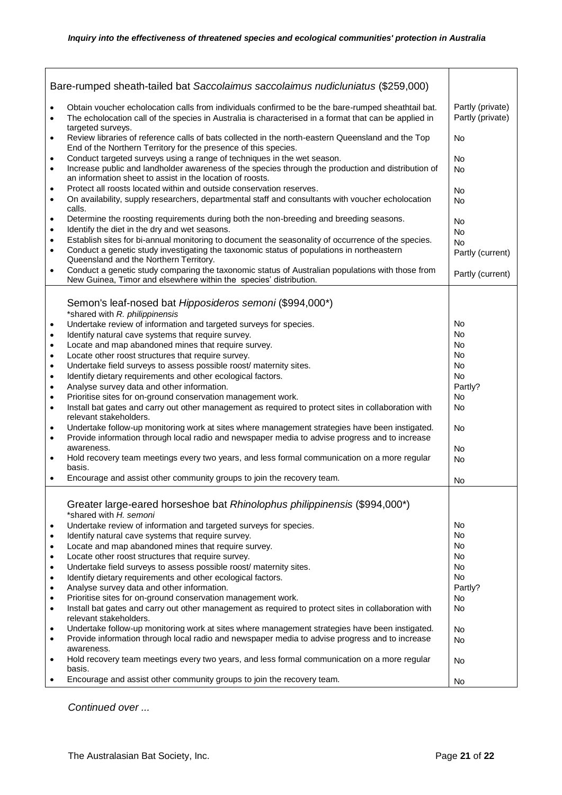| Bare-rumped sheath-tailed bat Saccolaimus saccolaimus nudicluniatus (\$259,000) |                                                                                                                                                                                                                                           |                                      |
|---------------------------------------------------------------------------------|-------------------------------------------------------------------------------------------------------------------------------------------------------------------------------------------------------------------------------------------|--------------------------------------|
| $\bullet$<br>$\bullet$                                                          | Obtain voucher echolocation calls from individuals confirmed to be the bare-rumped sheathtail bat.<br>The echolocation call of the species in Australia is characterised in a format that can be applied in                               | Partly (private)<br>Partly (private) |
| $\bullet$                                                                       | targeted surveys.<br>Review libraries of reference calls of bats collected in the north-eastern Queensland and the Top<br>End of the Northern Territory for the presence of this species.                                                 | No                                   |
| $\bullet$<br>$\bullet$                                                          | Conduct targeted surveys using a range of techniques in the wet season.<br>Increase public and landholder awareness of the species through the production and distribution of                                                             | No<br>No                             |
| $\bullet$<br>$\bullet$                                                          | an information sheet to assist in the location of roosts.<br>Protect all roosts located within and outside conservation reserves.<br>On availability, supply researchers, departmental staff and consultants with voucher echolocation    | <b>No</b><br><b>No</b>               |
| $\bullet$<br>$\bullet$                                                          | calls.<br>Determine the roosting requirements during both the non-breeding and breeding seasons.<br>Identify the diet in the dry and wet seasons.                                                                                         | No<br><b>No</b>                      |
| $\bullet$<br>$\bullet$                                                          | Establish sites for bi-annual monitoring to document the seasonality of occurrence of the species.<br>Conduct a genetic study investigating the taxonomic status of populations in northeastern<br>Queensland and the Northern Territory. | <b>No</b><br>Partly (current)        |
| $\bullet$                                                                       | Conduct a genetic study comparing the taxonomic status of Australian populations with those from<br>New Guinea, Timor and elsewhere within the species' distribution.                                                                     | Partly (current)                     |
|                                                                                 | Semon's leaf-nosed bat Hipposideros semoni (\$994,000*)                                                                                                                                                                                   |                                      |
| $\bullet$                                                                       | *shared with R. philippinensis<br>Undertake review of information and targeted surveys for species.                                                                                                                                       | No                                   |
| $\bullet$                                                                       | Identify natural cave systems that require survey.                                                                                                                                                                                        | No.                                  |
| $\bullet$                                                                       | Locate and map abandoned mines that require survey.                                                                                                                                                                                       | <b>No</b>                            |
|                                                                                 | Locate other roost structures that require survey.                                                                                                                                                                                        | <b>No</b>                            |
| $\bullet$<br>$\bullet$                                                          | Undertake field surveys to assess possible roost/ maternity sites.                                                                                                                                                                        | <b>No</b>                            |
|                                                                                 | Identify dietary requirements and other ecological factors.                                                                                                                                                                               | <b>No</b>                            |
| $\bullet$                                                                       | Analyse survey data and other information.                                                                                                                                                                                                | Partly?                              |
| $\bullet$                                                                       |                                                                                                                                                                                                                                           |                                      |
| $\bullet$                                                                       | Prioritise sites for on-ground conservation management work.                                                                                                                                                                              | No                                   |
| $\bullet$                                                                       | Install bat gates and carry out other management as required to protect sites in collaboration with<br>relevant stakeholders.                                                                                                             | <b>No</b>                            |
| $\bullet$<br>$\bullet$                                                          | Undertake follow-up monitoring work at sites where management strategies have been instigated.<br>Provide information through local radio and newspaper media to advise progress and to increase<br>awareness.                            | <b>No</b>                            |
| $\bullet$                                                                       | Hold recovery team meetings every two years, and less formal communication on a more regular<br>basis.                                                                                                                                    | No<br><b>No</b>                      |
| $\bullet$                                                                       | Encourage and assist other community groups to join the recovery team.                                                                                                                                                                    | No                                   |
|                                                                                 | Greater large-eared horseshoe bat Rhinolophus philippinensis (\$994,000*)<br>*shared with H. semoni                                                                                                                                       |                                      |
| $\bullet$                                                                       | Undertake review of information and targeted surveys for species.                                                                                                                                                                         | No                                   |
| $\bullet$                                                                       | Identify natural cave systems that require survey.                                                                                                                                                                                        | No.                                  |
| $\bullet$                                                                       | Locate and map abandoned mines that require survey.                                                                                                                                                                                       | No.                                  |
| $\bullet$                                                                       | Locate other roost structures that require survey.                                                                                                                                                                                        | No.                                  |
| $\bullet$                                                                       | Undertake field surveys to assess possible roost/ maternity sites.                                                                                                                                                                        | No.                                  |
| ٠                                                                               | Identify dietary requirements and other ecological factors.                                                                                                                                                                               | No                                   |
| $\bullet$                                                                       | Analyse survey data and other information.                                                                                                                                                                                                | Partly?                              |
| $\bullet$                                                                       | Prioritise sites for on-ground conservation management work.                                                                                                                                                                              | No                                   |
| $\bullet$                                                                       | Install bat gates and carry out other management as required to protect sites in collaboration with<br>relevant stakeholders.                                                                                                             | No                                   |
| $\bullet$                                                                       | Undertake follow-up monitoring work at sites where management strategies have been instigated.                                                                                                                                            | <b>No</b>                            |
| $\bullet$                                                                       | Provide information through local radio and newspaper media to advise progress and to increase<br>awareness.                                                                                                                              | <b>No</b>                            |
| $\bullet$                                                                       | Hold recovery team meetings every two years, and less formal communication on a more regular<br>basis.                                                                                                                                    | No                                   |
| $\bullet$                                                                       | Encourage and assist other community groups to join the recovery team.                                                                                                                                                                    | No                                   |

*Continued over ...*